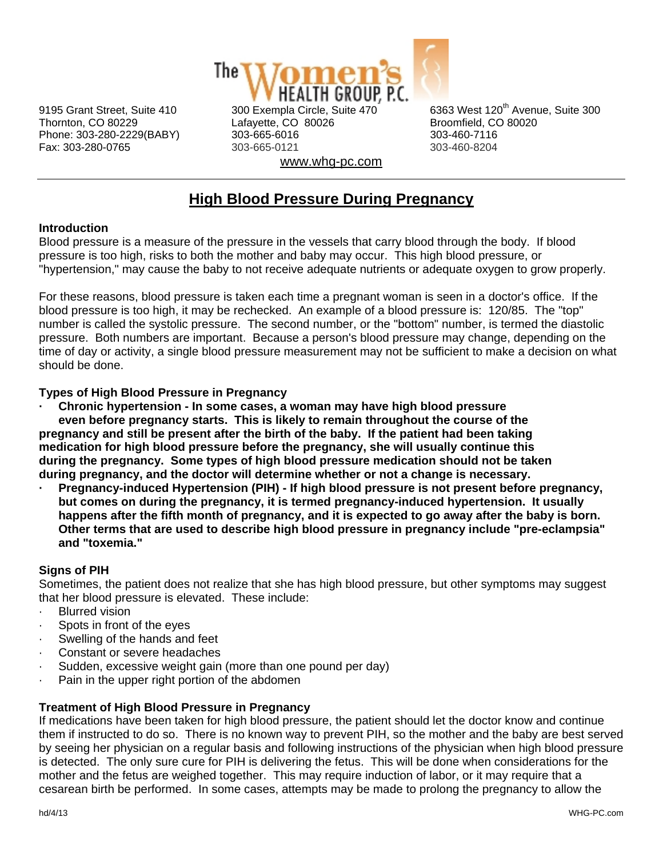

Thornton, CO 80229 Lafayette, CO 80026 Broomfield, CO 80020 Phone: 303-280-2229(BABY) 303-665-6016 303-460-7116 Fax: 303-280-0765 303-665-0121 303-460-8204 www.whg-pc.com

9195 Grant Street, Suite 410 300 Exempla Circle, Suite 470 6363 West 120<sup>th</sup> Avenue. Suite 300

# **High Blood Pressure During Pregnancy**

# **Introduction**

Blood pressure is a measure of the pressure in the vessels that carry blood through the body. If blood pressure is too high, risks to both the mother and baby may occur. This high blood pressure, or "hypertension," may cause the baby to not receive adequate nutrients or adequate oxygen to grow properly.

For these reasons, blood pressure is taken each time a pregnant woman is seen in a doctor's office. If the blood pressure is too high, it may be rechecked. An example of a blood pressure is: 120/85. The "top" number is called the systolic pressure. The second number, or the "bottom" number, is termed the diastolic pressure. Both numbers are important. Because a person's blood pressure may change, depending on the time of day or activity, a single blood pressure measurement may not be sufficient to make a decision on what should be done.

#### **Types of High Blood Pressure in Pregnancy**

**· Chronic hypertension - In some cases, a woman may have high blood pressure even before pregnancy starts. This is likely to remain throughout the course of the pregnancy and still be present after the birth of the baby. If the patient had been taking medication for high blood pressure before the pregnancy, she will usually continue this during the pregnancy. Some types of high blood pressure medication should not be taken during pregnancy, and the doctor will determine whether or not a change is necessary.**

**· Pregnancy-induced Hypertension (PIH) - If high blood pressure is not present before pregnancy, but comes on during the pregnancy, it is termed pregnancy-induced hypertension. It usually happens after the fifth month of pregnancy, and it is expected to go away after the baby is born. Other terms that are used to describe high blood pressure in pregnancy include "pre-eclampsia" and "toxemia."** 

# **Signs of PIH**

Sometimes, the patient does not realize that she has high blood pressure, but other symptoms may suggest that her blood pressure is elevated. These include:

- **Blurred vision**
- Spots in front of the eyes
- Swelling of the hands and feet
- Constant or severe headaches
- Sudden, excessive weight gain (more than one pound per day)
- Pain in the upper right portion of the abdomen

# **Treatment of High Blood Pressure in Pregnancy**

If medications have been taken for high blood pressure, the patient should let the doctor know and continue them if instructed to do so. There is no known way to prevent PIH, so the mother and the baby are best served by seeing her physician on a regular basis and following instructions of the physician when high blood pressure is detected. The only sure cure for PIH is delivering the fetus. This will be done when considerations for the mother and the fetus are weighed together. This may require induction of labor, or it may require that a cesarean birth be performed. In some cases, attempts may be made to prolong the pregnancy to allow the